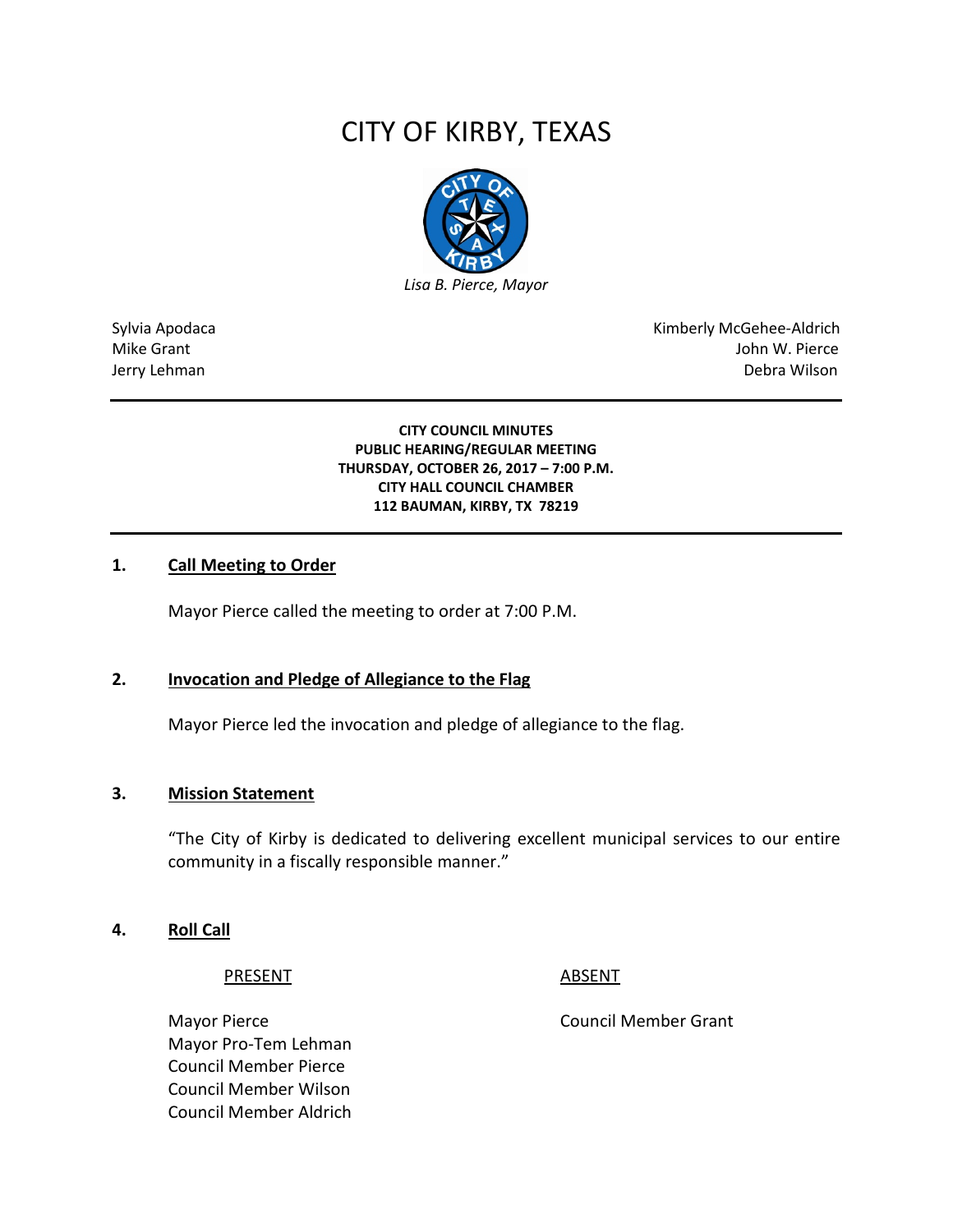# CITY OF KIRBY, TEXAS



Sylvia Apodaca National Apodaca Kimberly McGehee-Aldrich Mike Grant **Mike Grant** John W. Pierce Jerry Lehman Debra Wilson

> **CITY COUNCIL MINUTES PUBLIC HEARING/REGULAR MEETING THURSDAY, OCTOBER 26, 2017 – 7:00 P.M. CITY HALL COUNCIL CHAMBER 112 BAUMAN, KIRBY, TX 78219**

#### **1. Call Meeting to Order**

Mayor Pierce called the meeting to order at 7:00 P.M.

#### **2. Invocation and Pledge of Allegiance to the Flag**

Mayor Pierce led the invocation and pledge of allegiance to the flag.

#### **3. Mission Statement**

"The City of Kirby is dedicated to delivering excellent municipal services to our entire community in a fiscally responsible manner."

#### **4. Roll Call**

PRESENT ABSENT

Mayor Pierce **Council Member Grant** Mayor Pro-Tem Lehman Council Member Pierce Council Member Wilson Council Member Aldrich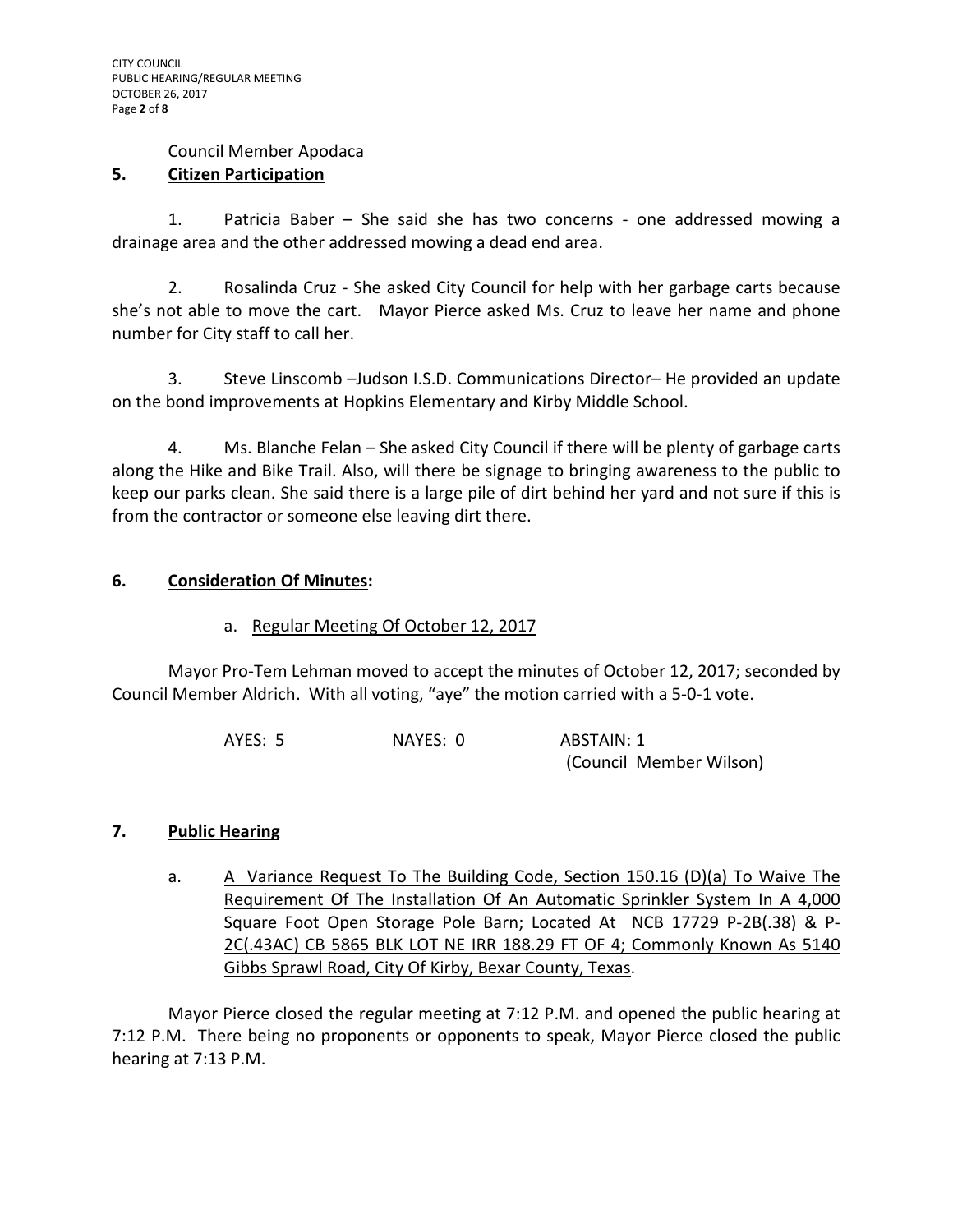#### Council Member Apodaca

#### **5. Citizen Participation**

1. Patricia Baber – She said she has two concerns - one addressed mowing a drainage area and the other addressed mowing a dead end area.

2. Rosalinda Cruz - She asked City Council for help with her garbage carts because she's not able to move the cart. Mayor Pierce asked Ms. Cruz to leave her name and phone number for City staff to call her.

3. Steve Linscomb –Judson I.S.D. Communications Director– He provided an update on the bond improvements at Hopkins Elementary and Kirby Middle School.

4. Ms. Blanche Felan – She asked City Council if there will be plenty of garbage carts along the Hike and Bike Trail. Also, will there be signage to bringing awareness to the public to keep our parks clean. She said there is a large pile of dirt behind her yard and not sure if this is from the contractor or someone else leaving dirt there.

# **6. Consideration Of Minutes:**

### a. Regular Meeting Of October 12, 2017

Mayor Pro-Tem Lehman moved to accept the minutes of October 12, 2017; seconded by Council Member Aldrich. With all voting, "aye" the motion carried with a 5-0-1 vote.

| AYES: 5 | NAYES: 0 | ABSTAIN: 1              |
|---------|----------|-------------------------|
|         |          | (Council Member Wilson) |

#### **7. Public Hearing**

a. A Variance Request To The Building Code, Section 150.16 (D)(a) To Waive The Requirement Of The Installation Of An Automatic Sprinkler System In A 4,000 Square Foot Open Storage Pole Barn; Located At NCB 17729 P-2B(.38) & P-2C(.43AC) CB 5865 BLK LOT NE IRR 188.29 FT OF 4; Commonly Known As 5140 Gibbs Sprawl Road, City Of Kirby, Bexar County, Texas.

Mayor Pierce closed the regular meeting at 7:12 P.M. and opened the public hearing at 7:12 P.M. There being no proponents or opponents to speak, Mayor Pierce closed the public hearing at 7:13 P.M.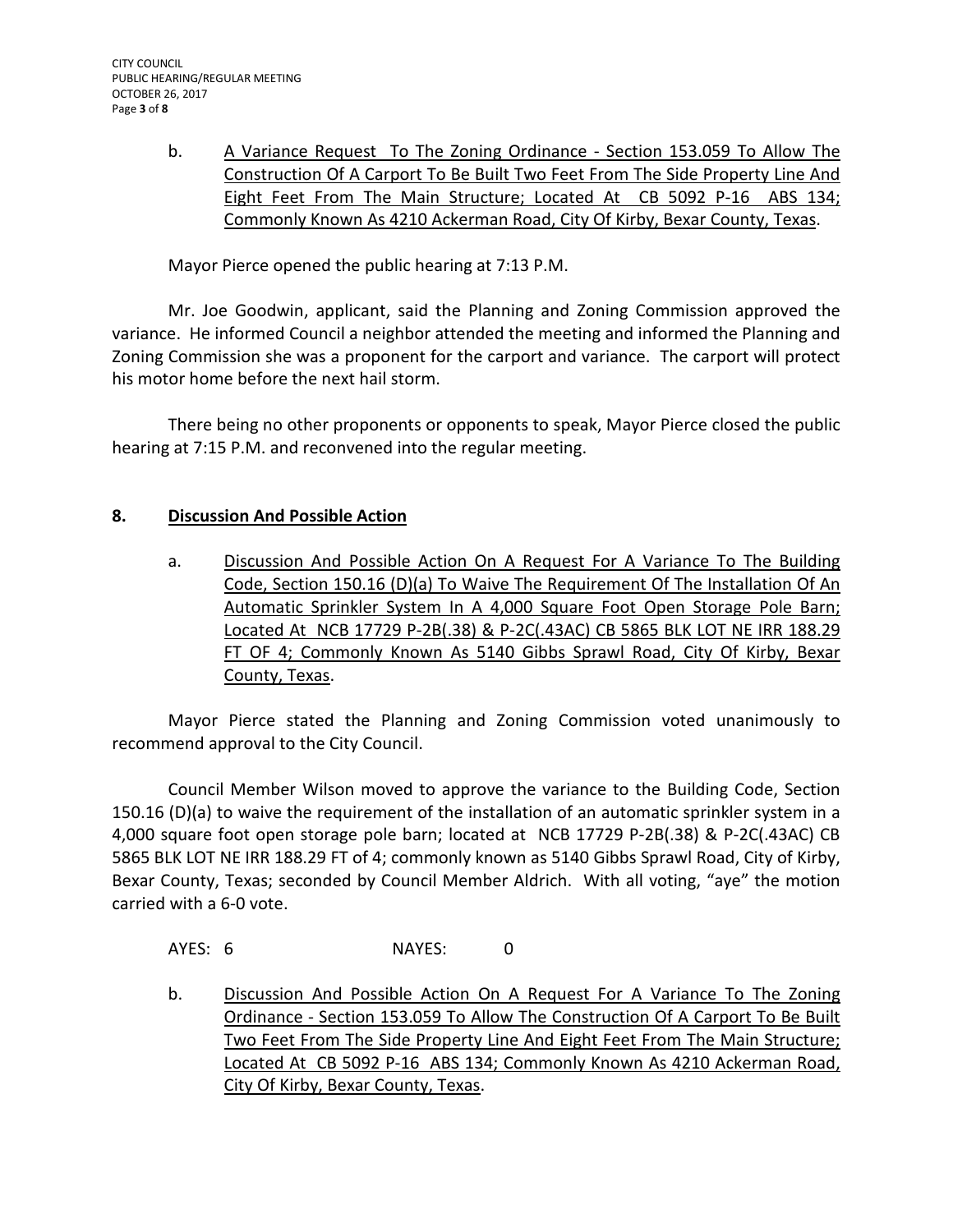b. A Variance Request To The Zoning Ordinance - Section 153.059 To Allow The Construction Of A Carport To Be Built Two Feet From The Side Property Line And Eight Feet From The Main Structure; Located At CB 5092 P-16 ABS 134; Commonly Known As 4210 Ackerman Road, City Of Kirby, Bexar County, Texas.

Mayor Pierce opened the public hearing at 7:13 P.M.

Mr. Joe Goodwin, applicant, said the Planning and Zoning Commission approved the variance. He informed Council a neighbor attended the meeting and informed the Planning and Zoning Commission she was a proponent for the carport and variance. The carport will protect his motor home before the next hail storm.

There being no other proponents or opponents to speak, Mayor Pierce closed the public hearing at 7:15 P.M. and reconvened into the regular meeting.

# **8. Discussion And Possible Action**

a. Discussion And Possible Action On A Request For A Variance To The Building Code, Section 150.16 (D)(a) To Waive The Requirement Of The Installation Of An Automatic Sprinkler System In A 4,000 Square Foot Open Storage Pole Barn; Located At NCB 17729 P-2B(.38) & P-2C(.43AC) CB 5865 BLK LOT NE IRR 188.29 FT OF 4; Commonly Known As 5140 Gibbs Sprawl Road, City Of Kirby, Bexar County, Texas.

Mayor Pierce stated the Planning and Zoning Commission voted unanimously to recommend approval to the City Council.

Council Member Wilson moved to approve the variance to the Building Code, Section 150.16 (D)(a) to waive the requirement of the installation of an automatic sprinkler system in a 4,000 square foot open storage pole barn; located at NCB 17729 P-2B(.38) & P-2C(.43AC) CB 5865 BLK LOT NE IRR 188.29 FT of 4; commonly known as 5140 Gibbs Sprawl Road, City of Kirby, Bexar County, Texas; seconded by Council Member Aldrich. With all voting, "aye" the motion carried with a 6-0 vote.

AYES: 6 NAYES: 0

b. Discussion And Possible Action On A Request For A Variance To The Zoning Ordinance - Section 153.059 To Allow The Construction Of A Carport To Be Built Two Feet From The Side Property Line And Eight Feet From The Main Structure; Located At CB 5092 P-16 ABS 134; Commonly Known As 4210 Ackerman Road, City Of Kirby, Bexar County, Texas.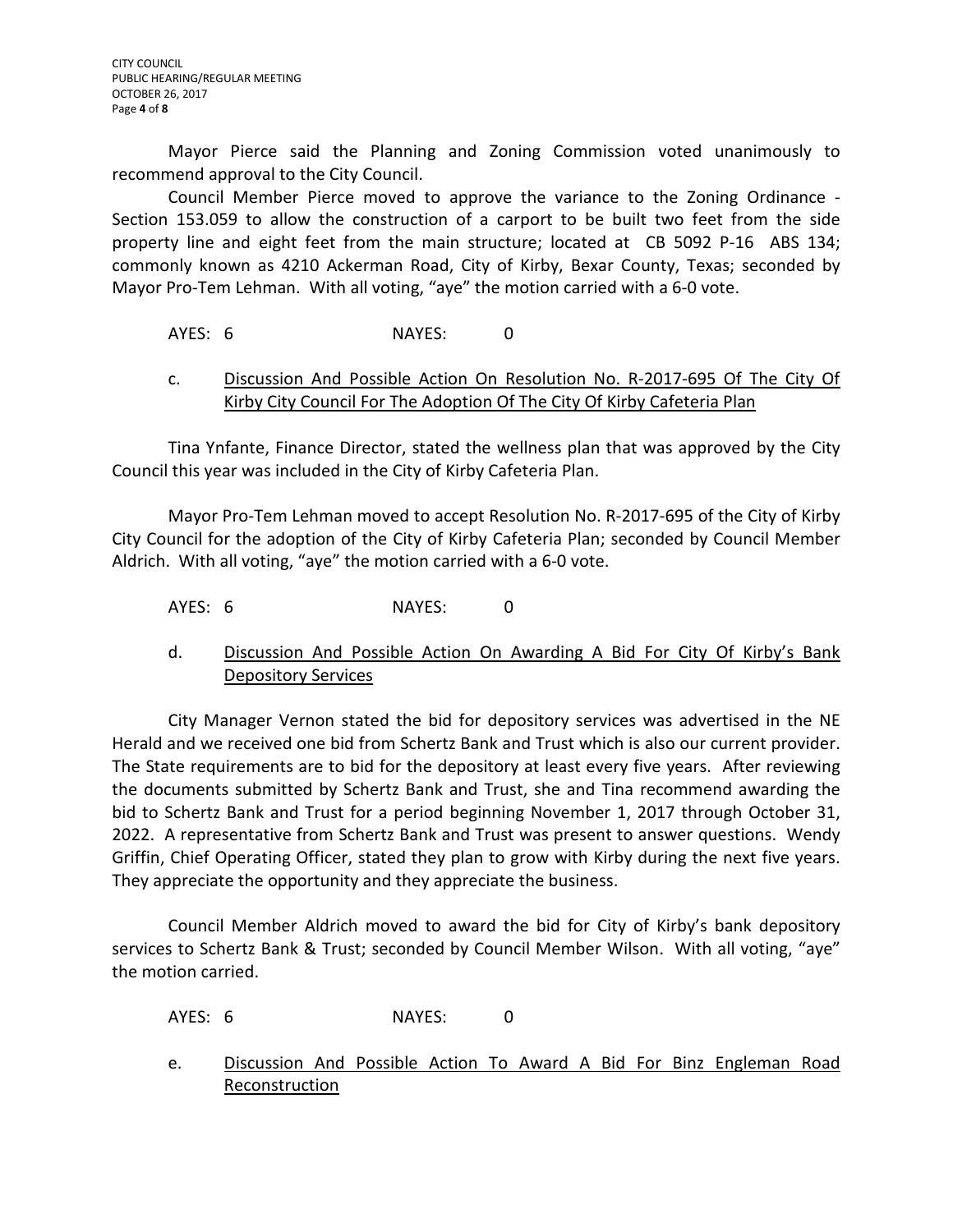Mayor Pierce said the Planning and Zoning Commission voted unanimously to recommend approval to the City Council.

Council Member Pierce moved to approve the variance to the Zoning Ordinance - Section 153.059 to allow the construction of a carport to be built two feet from the side property line and eight feet from the main structure; located at CB 5092 P-16 ABS 134; commonly known as 4210 Ackerman Road, City of Kirby, Bexar County, Texas; seconded by Mayor Pro-Tem Lehman. With all voting, "aye" the motion carried with a 6-0 vote.

# AYES: 6 NAYES: 0

# c. Discussion And Possible Action On Resolution No. R-2017-695 Of The City Of Kirby City Council For The Adoption Of The City Of Kirby Cafeteria Plan

Tina Ynfante, Finance Director, stated the wellness plan that was approved by the City Council this year was included in the City of Kirby Cafeteria Plan.

Mayor Pro-Tem Lehman moved to accept Resolution No. R-2017-695 of the City of Kirby City Council for the adoption of the City of Kirby Cafeteria Plan; seconded by Council Member Aldrich. With all voting, "aye" the motion carried with a 6-0 vote.

AYES: 6 NAYES: 0

# d. Discussion And Possible Action On Awarding A Bid For City Of Kirby's Bank Depository Services

City Manager Vernon stated the bid for depository services was advertised in the NE Herald and we received one bid from Schertz Bank and Trust which is also our current provider. The State requirements are to bid for the depository at least every five years. After reviewing the documents submitted by Schertz Bank and Trust, she and Tina recommend awarding the bid to Schertz Bank and Trust for a period beginning November 1, 2017 through October 31, 2022. A representative from Schertz Bank and Trust was present to answer questions. Wendy Griffin, Chief Operating Officer, stated they plan to grow with Kirby during the next five years. They appreciate the opportunity and they appreciate the business.

Council Member Aldrich moved to award the bid for City of Kirby's bank depository services to Schertz Bank & Trust; seconded by Council Member Wilson. With all voting, "aye" the motion carried.

AYES: 6 NAYES: 0

e. Discussion And Possible Action To Award A Bid For Binz Engleman Road Reconstruction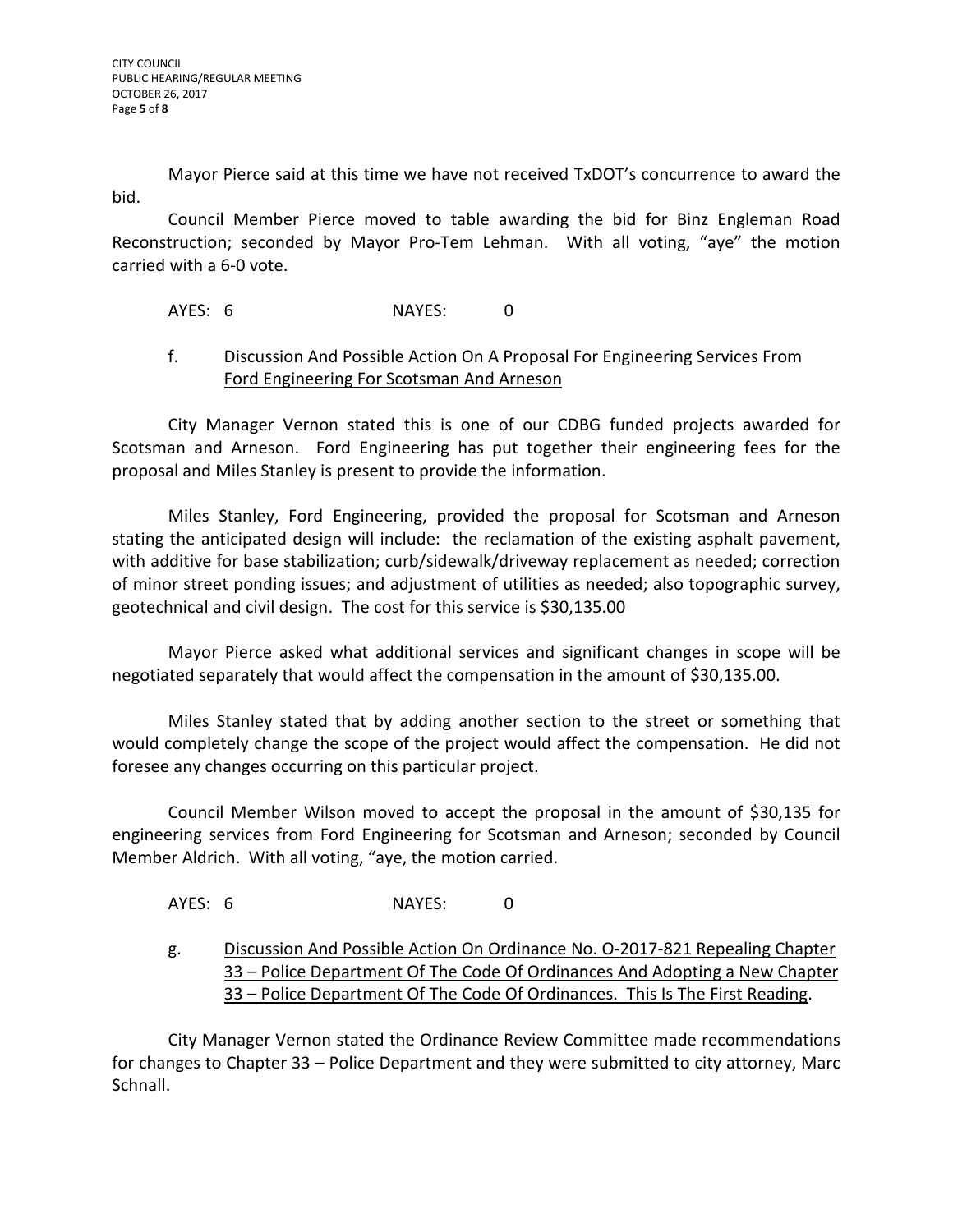Mayor Pierce said at this time we have not received TxDOT's concurrence to award the bid.

Council Member Pierce moved to table awarding the bid for Binz Engleman Road Reconstruction; seconded by Mayor Pro-Tem Lehman. With all voting, "aye" the motion carried with a 6-0 vote.

# AYES: 6 NAYES: 0

# f. Discussion And Possible Action On A Proposal For Engineering Services From Ford Engineering For Scotsman And Arneson

City Manager Vernon stated this is one of our CDBG funded projects awarded for Scotsman and Arneson. Ford Engineering has put together their engineering fees for the proposal and Miles Stanley is present to provide the information.

Miles Stanley, Ford Engineering, provided the proposal for Scotsman and Arneson stating the anticipated design will include: the reclamation of the existing asphalt pavement, with additive for base stabilization; curb/sidewalk/driveway replacement as needed; correction of minor street ponding issues; and adjustment of utilities as needed; also topographic survey, geotechnical and civil design. The cost for this service is \$30,135.00

Mayor Pierce asked what additional services and significant changes in scope will be negotiated separately that would affect the compensation in the amount of \$30,135.00.

Miles Stanley stated that by adding another section to the street or something that would completely change the scope of the project would affect the compensation. He did not foresee any changes occurring on this particular project.

Council Member Wilson moved to accept the proposal in the amount of \$30,135 for engineering services from Ford Engineering for Scotsman and Arneson; seconded by Council Member Aldrich. With all voting, "aye, the motion carried.

AYES: 6 NAYES: 0

g. Discussion And Possible Action On Ordinance No. O-2017-821 Repealing Chapter 33 – Police Department Of The Code Of Ordinances And Adopting a New Chapter 33 – Police Department Of The Code Of Ordinances. This Is The First Reading.

City Manager Vernon stated the Ordinance Review Committee made recommendations for changes to Chapter 33 – Police Department and they were submitted to city attorney, Marc Schnall.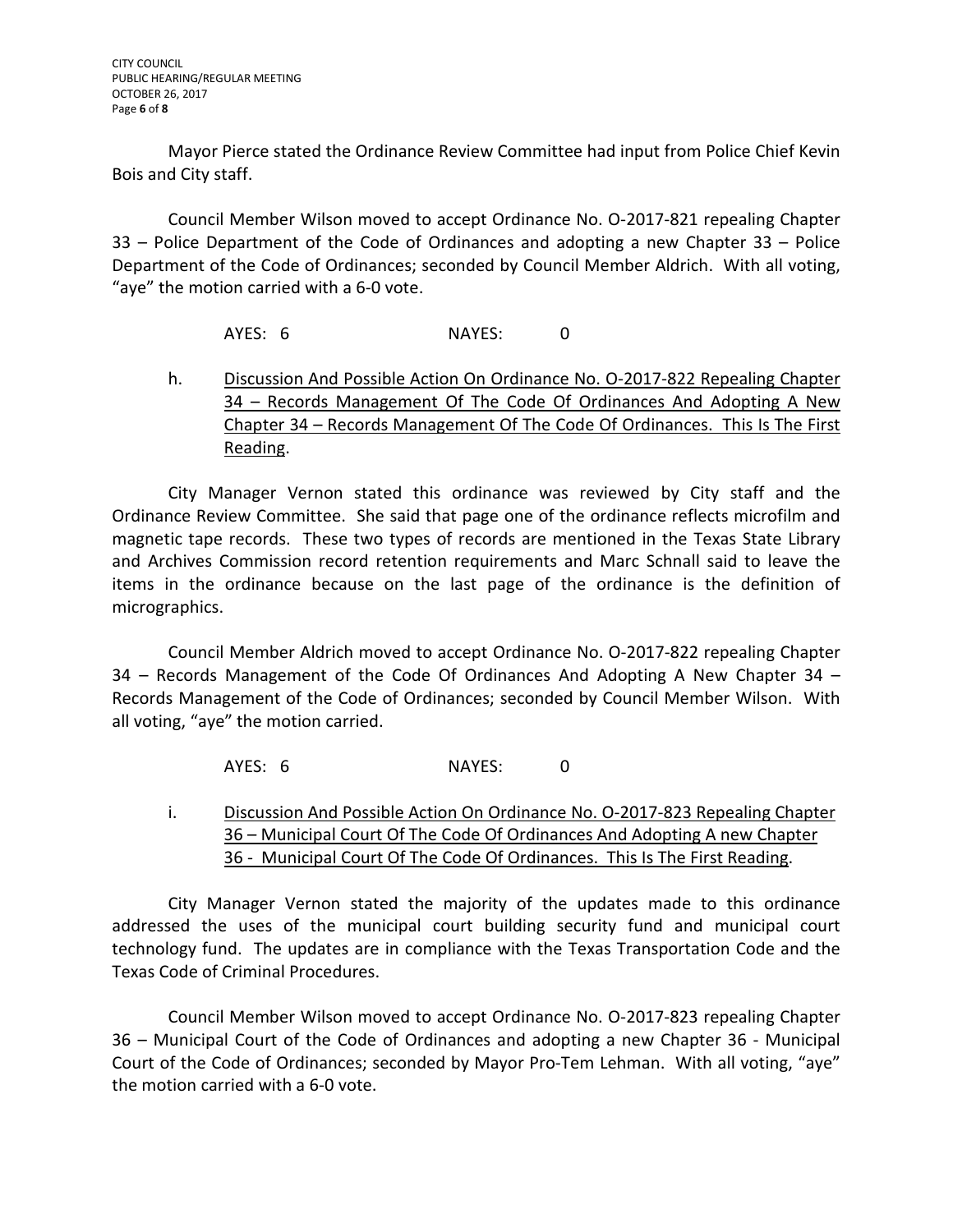Mayor Pierce stated the Ordinance Review Committee had input from Police Chief Kevin Bois and City staff.

Council Member Wilson moved to accept Ordinance No. O-2017-821 repealing Chapter 33 – Police Department of the Code of Ordinances and adopting a new Chapter 33 – Police Department of the Code of Ordinances; seconded by Council Member Aldrich. With all voting, "aye" the motion carried with a 6-0 vote.

AYES: 6 NAYES: 0

h. Discussion And Possible Action On Ordinance No. O-2017-822 Repealing Chapter 34 – Records Management Of The Code Of Ordinances And Adopting A New Chapter 34 – Records Management Of The Code Of Ordinances. This Is The First Reading.

City Manager Vernon stated this ordinance was reviewed by City staff and the Ordinance Review Committee. She said that page one of the ordinance reflects microfilm and magnetic tape records. These two types of records are mentioned in the Texas State Library and Archives Commission record retention requirements and Marc Schnall said to leave the items in the ordinance because on the last page of the ordinance is the definition of micrographics.

Council Member Aldrich moved to accept Ordinance No. O-2017-822 repealing Chapter 34 – Records Management of the Code Of Ordinances And Adopting A New Chapter 34 – Records Management of the Code of Ordinances; seconded by Council Member Wilson. With all voting, "aye" the motion carried.

AYES: 6 NAYES: 0

i. Discussion And Possible Action On Ordinance No. O-2017-823 Repealing Chapter 36 – Municipal Court Of The Code Of Ordinances And Adopting A new Chapter 36 - Municipal Court Of The Code Of Ordinances. This Is The First Reading.

City Manager Vernon stated the majority of the updates made to this ordinance addressed the uses of the municipal court building security fund and municipal court technology fund. The updates are in compliance with the Texas Transportation Code and the Texas Code of Criminal Procedures.

Council Member Wilson moved to accept Ordinance No. O-2017-823 repealing Chapter 36 – Municipal Court of the Code of Ordinances and adopting a new Chapter 36 - Municipal Court of the Code of Ordinances; seconded by Mayor Pro-Tem Lehman. With all voting, "aye" the motion carried with a 6-0 vote.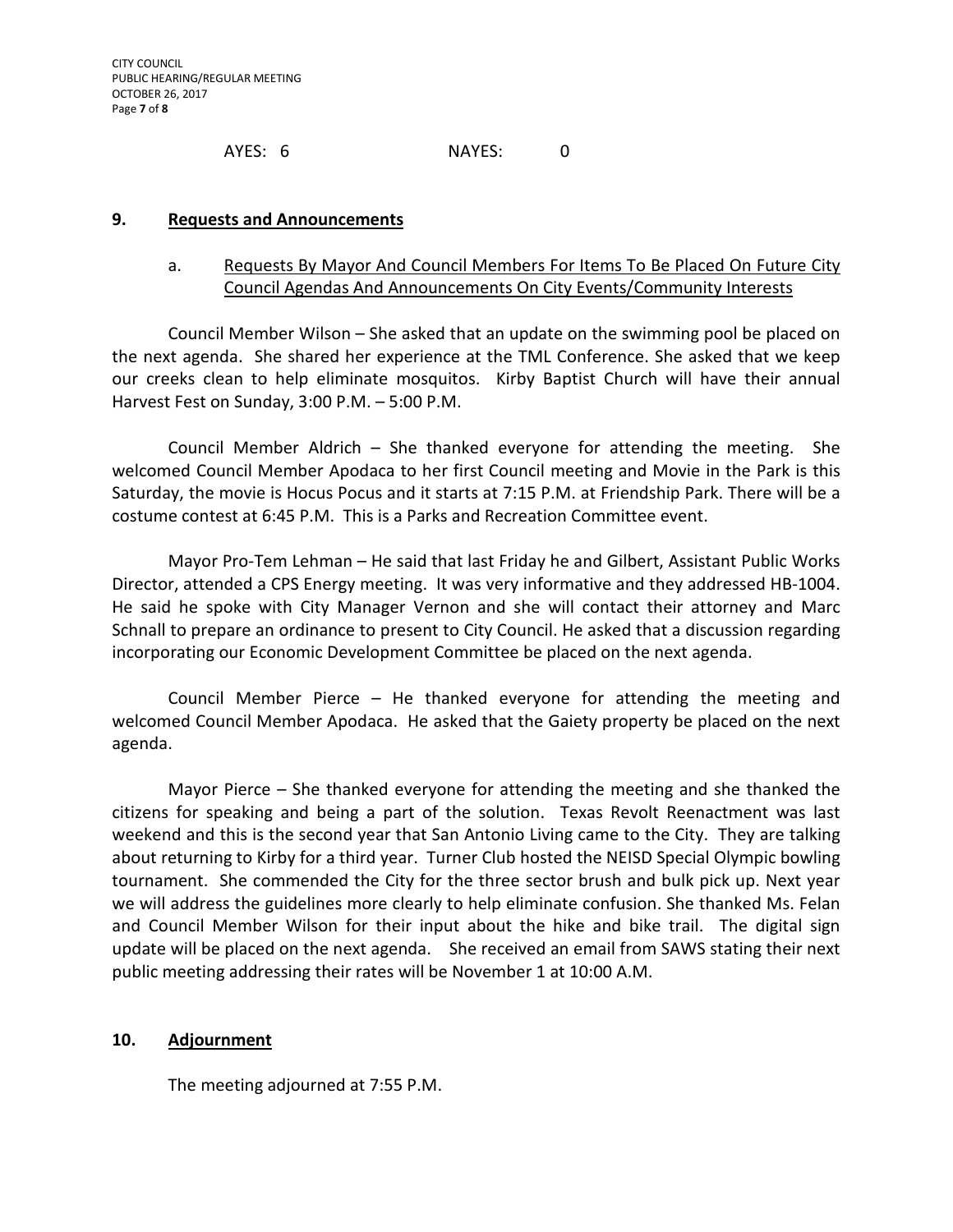AYES: 6 NAYES: 0

### **9. Requests and Announcements**

# a. Requests By Mayor And Council Members For Items To Be Placed On Future City Council Agendas And Announcements On City Events/Community Interests

Council Member Wilson – She asked that an update on the swimming pool be placed on the next agenda. She shared her experience at the TML Conference. She asked that we keep our creeks clean to help eliminate mosquitos. Kirby Baptist Church will have their annual Harvest Fest on Sunday, 3:00 P.M. – 5:00 P.M.

Council Member Aldrich – She thanked everyone for attending the meeting. She welcomed Council Member Apodaca to her first Council meeting and Movie in the Park is this Saturday, the movie is Hocus Pocus and it starts at 7:15 P.M. at Friendship Park. There will be a costume contest at 6:45 P.M. This is a Parks and Recreation Committee event.

Mayor Pro-Tem Lehman – He said that last Friday he and Gilbert, Assistant Public Works Director, attended a CPS Energy meeting. It was very informative and they addressed HB-1004. He said he spoke with City Manager Vernon and she will contact their attorney and Marc Schnall to prepare an ordinance to present to City Council. He asked that a discussion regarding incorporating our Economic Development Committee be placed on the next agenda.

Council Member Pierce – He thanked everyone for attending the meeting and welcomed Council Member Apodaca. He asked that the Gaiety property be placed on the next agenda.

Mayor Pierce – She thanked everyone for attending the meeting and she thanked the citizens for speaking and being a part of the solution. Texas Revolt Reenactment was last weekend and this is the second year that San Antonio Living came to the City. They are talking about returning to Kirby for a third year. Turner Club hosted the NEISD Special Olympic bowling tournament. She commended the City for the three sector brush and bulk pick up. Next year we will address the guidelines more clearly to help eliminate confusion. She thanked Ms. Felan and Council Member Wilson for their input about the hike and bike trail. The digital sign update will be placed on the next agenda. She received an email from SAWS stating their next public meeting addressing their rates will be November 1 at 10:00 A.M.

# **10. Adjournment**

The meeting adjourned at 7:55 P.M.